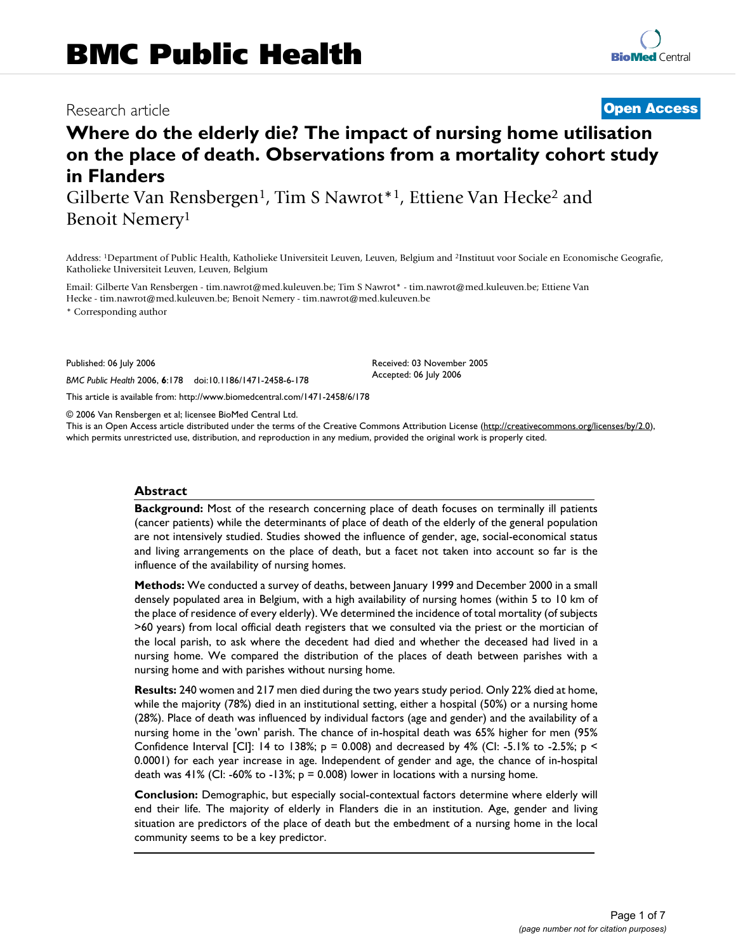# Research article **[Open Access](http://www.biomedcentral.com/info/about/charter/)**

# **Where do the elderly die? The impact of nursing home utilisation on the place of death. Observations from a mortality cohort study in Flanders** Gilberte Van Rensbergen<sup>1</sup>, Tim S Nawrot<sup>\*1</sup>, Ettiene Van Hecke<sup>2</sup> and

Benoit Nemery1

Address: 1Department of Public Health, Katholieke Universiteit Leuven, Leuven, Belgium and 2Instituut voor Sociale en Economische Geografie, Katholieke Universiteit Leuven, Leuven, Belgium

Email: Gilberte Van Rensbergen - tim.nawrot@med.kuleuven.be; Tim S Nawrot\* - tim.nawrot@med.kuleuven.be; Ettiene Van Hecke - tim.nawrot@med.kuleuven.be; Benoit Nemery - tim.nawrot@med.kuleuven.be

\* Corresponding author

Published: 06 July 2006

*BMC Public Health* 2006, **6**:178 doi:10.1186/1471-2458-6-178

[This article is available from: http://www.biomedcentral.com/1471-2458/6/178](http://www.biomedcentral.com/1471-2458/6/178)

© 2006 Van Rensbergen et al; licensee BioMed Central Ltd.

This is an Open Access article distributed under the terms of the Creative Commons Attribution License [\(http://creativecommons.org/licenses/by/2.0\)](http://creativecommons.org/licenses/by/2.0), which permits unrestricted use, distribution, and reproduction in any medium, provided the original work is properly cited.

Received: 03 November 2005 Accepted: 06 July 2006

#### **Abstract**

**Background:** Most of the research concerning place of death focuses on terminally ill patients (cancer patients) while the determinants of place of death of the elderly of the general population are not intensively studied. Studies showed the influence of gender, age, social-economical status and living arrangements on the place of death, but a facet not taken into account so far is the influence of the availability of nursing homes.

**Methods:** We conducted a survey of deaths, between January 1999 and December 2000 in a small densely populated area in Belgium, with a high availability of nursing homes (within 5 to 10 km of the place of residence of every elderly). We determined the incidence of total mortality (of subjects >60 years) from local official death registers that we consulted via the priest or the mortician of the local parish, to ask where the decedent had died and whether the deceased had lived in a nursing home. We compared the distribution of the places of death between parishes with a nursing home and with parishes without nursing home.

**Results:** 240 women and 217 men died during the two years study period. Only 22% died at home, while the majority (78%) died in an institutional setting, either a hospital (50%) or a nursing home (28%). Place of death was influenced by individual factors (age and gender) and the availability of a nursing home in the 'own' parish. The chance of in-hospital death was 65% higher for men (95% Confidence Interval [CI]: 14 to 138%;  $p = 0.008$ ) and decreased by 4% (CI: -5.1% to -2.5%;  $p \le$ 0.0001) for each year increase in age. Independent of gender and age, the chance of in-hospital death was 41% (CI: -60% to -13%;  $p = 0.008$ ) lower in locations with a nursing home.

**Conclusion:** Demographic, but especially social-contextual factors determine where elderly will end their life. The majority of elderly in Flanders die in an institution. Age, gender and living situation are predictors of the place of death but the embedment of a nursing home in the local community seems to be a key predictor.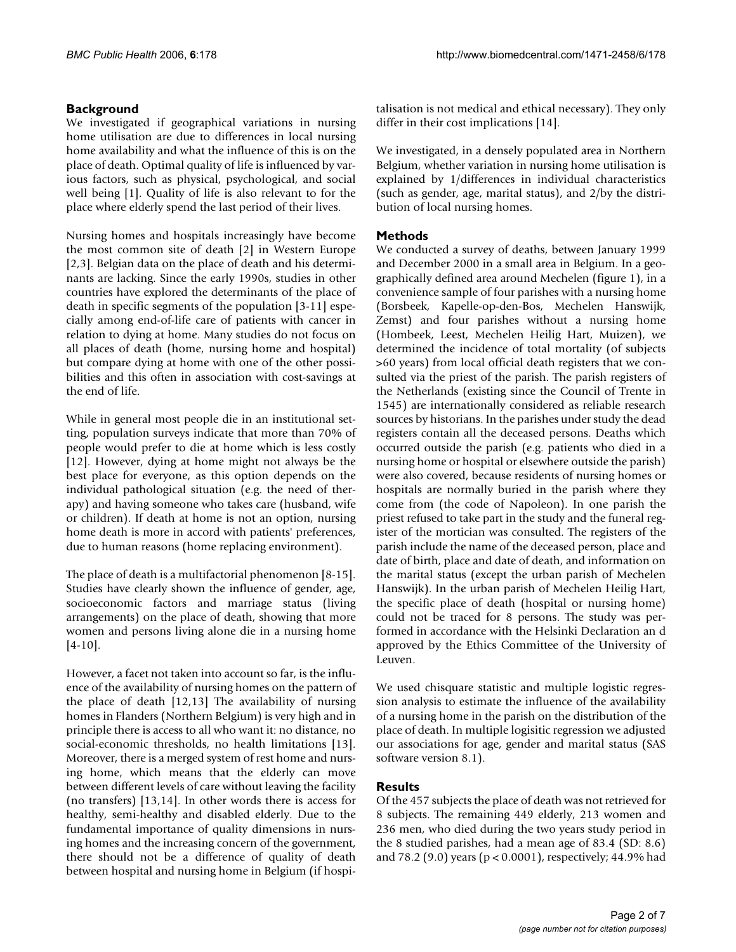#### **Background**

We investigated if geographical variations in nursing home utilisation are due to differences in local nursing home availability and what the influence of this is on the place of death. Optimal quality of life is influenced by various factors, such as physical, psychological, and social well being [1]. Quality of life is also relevant to for the place where elderly spend the last period of their lives.

Nursing homes and hospitals increasingly have become the most common site of death [2] in Western Europe [2,3]. Belgian data on the place of death and his determinants are lacking. Since the early 1990s, studies in other countries have explored the determinants of the place of death in specific segments of the population [3-11] especially among end-of-life care of patients with cancer in relation to dying at home. Many studies do not focus on all places of death (home, nursing home and hospital) but compare dying at home with one of the other possibilities and this often in association with cost-savings at the end of life.

While in general most people die in an institutional setting, population surveys indicate that more than 70% of people would prefer to die at home which is less costly [12]. However, dying at home might not always be the best place for everyone, as this option depends on the individual pathological situation (e.g. the need of therapy) and having someone who takes care (husband, wife or children). If death at home is not an option, nursing home death is more in accord with patients' preferences, due to human reasons (home replacing environment).

The place of death is a multifactorial phenomenon [8-15]. Studies have clearly shown the influence of gender, age, socioeconomic factors and marriage status (living arrangements) on the place of death, showing that more women and persons living alone die in a nursing home  $[4-10]$ .

However, a facet not taken into account so far, is the influence of the availability of nursing homes on the pattern of the place of death [12,13] The availability of nursing homes in Flanders (Northern Belgium) is very high and in principle there is access to all who want it: no distance, no social-economic thresholds, no health limitations [13]. Moreover, there is a merged system of rest home and nursing home, which means that the elderly can move between different levels of care without leaving the facility (no transfers) [13,14]. In other words there is access for healthy, semi-healthy and disabled elderly. Due to the fundamental importance of quality dimensions in nursing homes and the increasing concern of the government, there should not be a difference of quality of death between hospital and nursing home in Belgium (if hospitalisation is not medical and ethical necessary). They only differ in their cost implications [14].

We investigated, in a densely populated area in Northern Belgium, whether variation in nursing home utilisation is explained by 1/differences in individual characteristics (such as gender, age, marital status), and 2/by the distribution of local nursing homes.

#### **Methods**

We conducted a survey of deaths, between January 1999 and December 2000 in a small area in Belgium. In a geographically defined area around Mechelen (figure 1), in a convenience sample of four parishes with a nursing home (Borsbeek, Kapelle-op-den-Bos, Mechelen Hanswijk, Zemst) and four parishes without a nursing home (Hombeek, Leest, Mechelen Heilig Hart, Muizen), we determined the incidence of total mortality (of subjects >60 years) from local official death registers that we consulted via the priest of the parish. The parish registers of the Netherlands (existing since the Council of Trente in 1545) are internationally considered as reliable research sources by historians. In the parishes under study the dead registers contain all the deceased persons. Deaths which occurred outside the parish (e.g. patients who died in a nursing home or hospital or elsewhere outside the parish) were also covered, because residents of nursing homes or hospitals are normally buried in the parish where they come from (the code of Napoleon). In one parish the priest refused to take part in the study and the funeral register of the mortician was consulted. The registers of the parish include the name of the deceased person, place and date of birth, place and date of death, and information on the marital status (except the urban parish of Mechelen Hanswijk). In the urban parish of Mechelen Heilig Hart, the specific place of death (hospital or nursing home) could not be traced for 8 persons. The study was performed in accordance with the Helsinki Declaration an d approved by the Ethics Committee of the University of Leuven.

We used chisquare statistic and multiple logistic regression analysis to estimate the influence of the availability of a nursing home in the parish on the distribution of the place of death. In multiple logisitic regression we adjusted our associations for age, gender and marital status (SAS software version 8.1).

#### **Results**

Of the 457 subjects the place of death was not retrieved for 8 subjects. The remaining 449 elderly, 213 women and 236 men, who died during the two years study period in the 8 studied parishes, had a mean age of 83.4 (SD: 8.6) and 78.2 (9.0) years (p < 0.0001), respectively; 44.9% had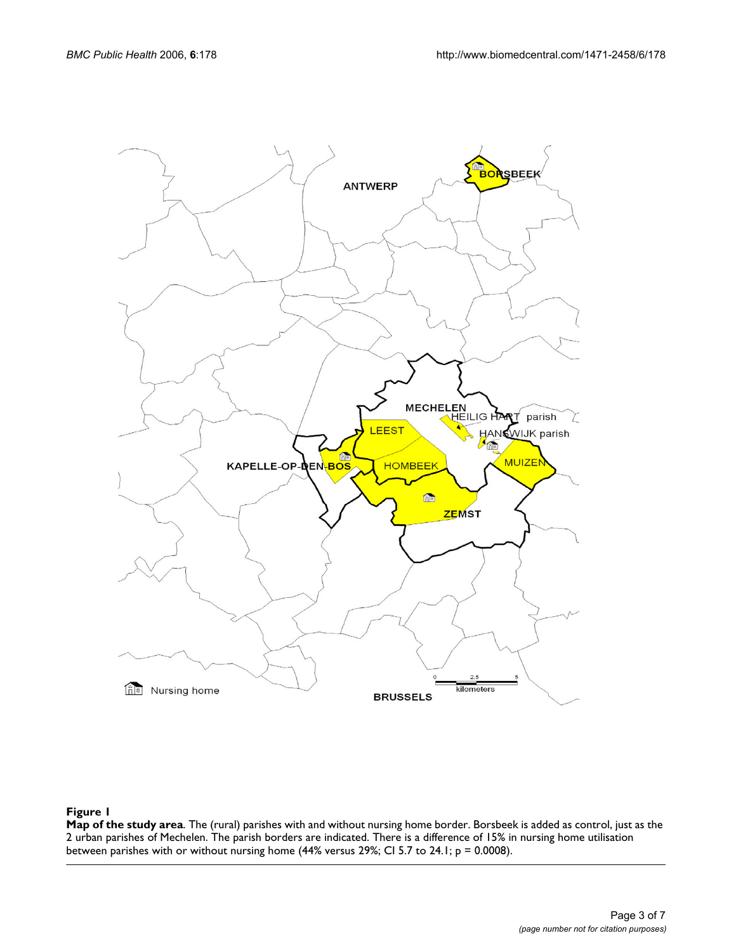

#### **Figure 1**

**Map of the study area**. The (rural) parishes with and without nursing home border. Borsbeek is added as control, just as the 2 urban parishes of Mechelen. The parish borders are indicated. There is a difference of 15% in nursing home utilisation between parishes with or without nursing home (44% versus 29%; CI 5.7 to 24.1; p = 0.0008).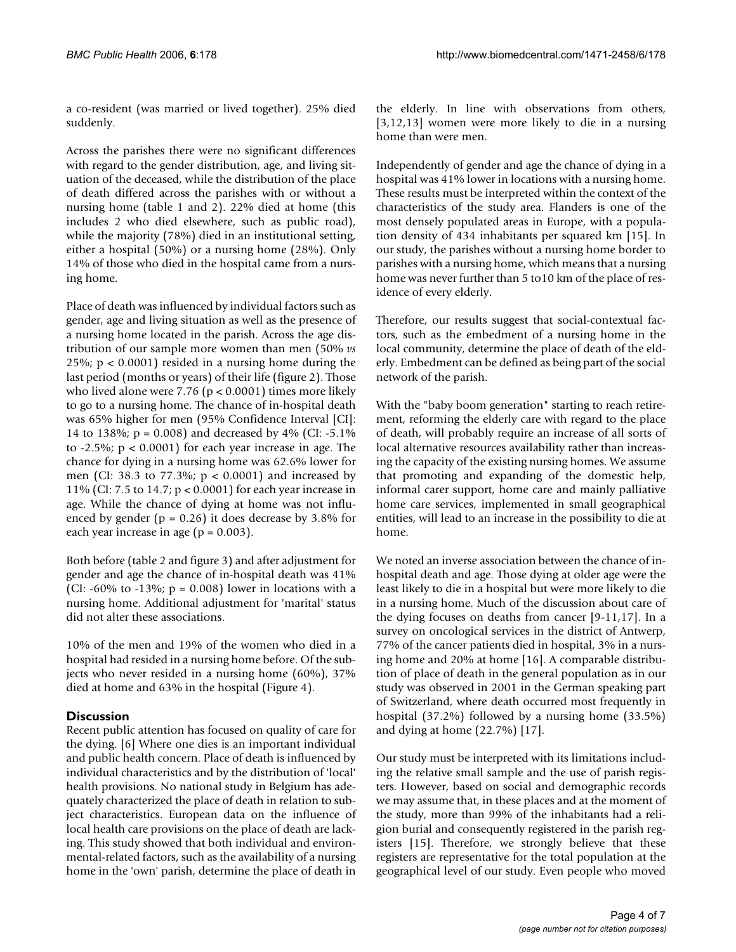a co-resident (was married or lived together). 25% died suddenly.

Across the parishes there were no significant differences with regard to the gender distribution, age, and living situation of the deceased, while the distribution of the place of death differed across the parishes with or without a nursing home (table 1 and 2). 22% died at home (this includes 2 who died elsewhere, such as public road), while the majority (78%) died in an institutional setting, either a hospital (50%) or a nursing home (28%). Only 14% of those who died in the hospital came from a nursing home.

Place of death was influenced by individual factors such as gender, age and living situation as well as the presence of a nursing home located in the parish. Across the age distribution of our sample more women than men (50% *vs* 25%; p < 0.0001) resided in a nursing home during the last period (months or years) of their life (figure 2). Those who lived alone were 7.76 ( $p < 0.0001$ ) times more likely to go to a nursing home. The chance of in-hospital death was 65% higher for men (95% Confidence Interval [CI]: 14 to 138%; p = 0.008) and decreased by 4% (CI: -5.1% to  $-2.5\%$ ;  $p < 0.0001$ ) for each year increase in age. The chance for dying in a nursing home was 62.6% lower for men (CI: 38.3 to 77.3%; p < 0.0001) and increased by 11% (CI: 7.5 to 14.7; p < 0.0001) for each year increase in age. While the chance of dying at home was not influenced by gender ( $p = 0.26$ ) it does decrease by 3.8% for each year increase in age ( $p = 0.003$ ).

Both before (table 2 and figure 3) and after adjustment for gender and age the chance of in-hospital death was 41% (CI:  $-60\%$  to  $-13\%$ ; p = 0.008) lower in locations with a nursing home. Additional adjustment for 'marital' status did not alter these associations.

10% of the men and 19% of the women who died in a hospital had resided in a nursing home before. Of the subjects who never resided in a nursing home (60%), 37% died at home and 63% in the hospital (Figure 4).

#### **Discussion**

Recent public attention has focused on quality of care for the dying. [6] Where one dies is an important individual and public health concern. Place of death is influenced by individual characteristics and by the distribution of 'local' health provisions. No national study in Belgium has adequately characterized the place of death in relation to subject characteristics. European data on the influence of local health care provisions on the place of death are lacking. This study showed that both individual and environmental-related factors, such as the availability of a nursing home in the 'own' parish, determine the place of death in

the elderly. In line with observations from others, [3,12,13] women were more likely to die in a nursing home than were men.

Independently of gender and age the chance of dying in a hospital was 41% lower in locations with a nursing home. These results must be interpreted within the context of the characteristics of the study area. Flanders is one of the most densely populated areas in Europe, with a population density of 434 inhabitants per squared km [15]. In our study, the parishes without a nursing home border to parishes with a nursing home, which means that a nursing home was never further than 5 to 10 km of the place of residence of every elderly.

Therefore, our results suggest that social-contextual factors, such as the embedment of a nursing home in the local community, determine the place of death of the elderly. Embedment can be defined as being part of the social network of the parish.

With the "baby boom generation" starting to reach retirement, reforming the elderly care with regard to the place of death, will probably require an increase of all sorts of local alternative resources availability rather than increasing the capacity of the existing nursing homes. We assume that promoting and expanding of the domestic help, informal carer support, home care and mainly palliative home care services, implemented in small geographical entities, will lead to an increase in the possibility to die at home.

We noted an inverse association between the chance of inhospital death and age. Those dying at older age were the least likely to die in a hospital but were more likely to die in a nursing home. Much of the discussion about care of the dying focuses on deaths from cancer [9-11,17]. In a survey on oncological services in the district of Antwerp, 77% of the cancer patients died in hospital, 3% in a nursing home and 20% at home [16]. A comparable distribution of place of death in the general population as in our study was observed in 2001 in the German speaking part of Switzerland, where death occurred most frequently in hospital (37.2%) followed by a nursing home (33.5%) and dying at home (22.7%) [17].

Our study must be interpreted with its limitations including the relative small sample and the use of parish registers. However, based on social and demographic records we may assume that, in these places and at the moment of the study, more than 99% of the inhabitants had a religion burial and consequently registered in the parish registers [15]. Therefore, we strongly believe that these registers are representative for the total population at the geographical level of our study. Even people who moved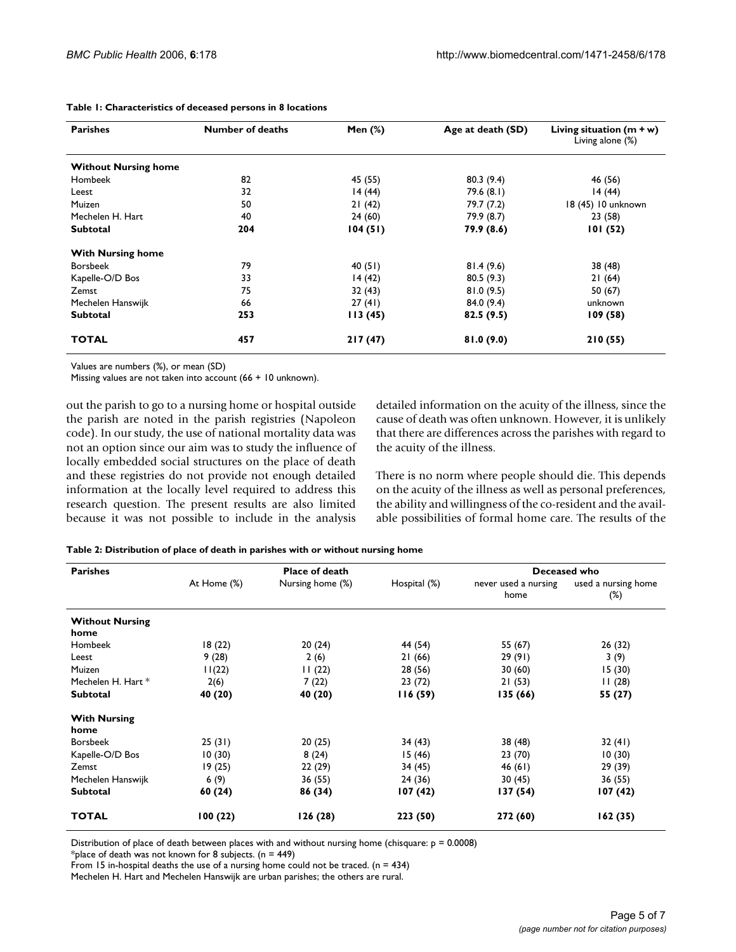| <b>Parishes</b>             | <b>Number of deaths</b> | Men $(\%)$ | Age at death (SD) | Living situation $(m + w)$<br>Living alone (%) |
|-----------------------------|-------------------------|------------|-------------------|------------------------------------------------|
| <b>Without Nursing home</b> |                         |            |                   |                                                |
| Hombeek                     | 82                      | 45 (55)    | 80.3(9.4)         | 46 (56)                                        |
| Leest                       | 32                      | 14(44)     | 79.6 (8.1)        | 14(44)                                         |
| Muizen                      | 50                      | 21(42)     | 79.7 (7.2)        | 18 (45) 10 unknown                             |
| Mechelen H. Hart            | 40                      | 24(60)     | 79.9 (8.7)        | 23 (58)                                        |
| <b>Subtotal</b>             | 204                     | 104(51)    | 79.9 (8.6)        | 101(52)                                        |
| <b>With Nursing home</b>    |                         |            |                   |                                                |
| <b>Borsbeek</b>             | 79                      | 40(51)     | 81.4(9.6)         | 38 (48)                                        |
| Kapelle-O/D Bos             | 33                      | 14(42)     | 80.5(9.3)         | 21(64)                                         |
| Zemst                       | 75                      | 32(43)     | 81.0(9.5)         | 50 (67)                                        |
| Mechelen Hanswijk           | 66                      | 27(41)     | 84.0 (9.4)        | unknown                                        |
| <b>Subtotal</b>             | 253                     | 113(45)    | 82.5(9.5)         | 109(58)                                        |
| <b>TOTAL</b>                | 457                     | 217(47)    | 81.0(9.0)         | 210 (55)                                       |

**Table 1: Characteristics of deceased persons in 8 locations**

Values are numbers (%), or mean (SD)

Missing values are not taken into account (66 + 10 unknown).

out the parish to go to a nursing home or hospital outside the parish are noted in the parish registries (Napoleon code). In our study, the use of national mortality data was not an option since our aim was to study the influence of locally embedded social structures on the place of death and these registries do not provide not enough detailed information at the locally level required to address this research question. The present results are also limited because it was not possible to include in the analysis detailed information on the acuity of the illness, since the cause of death was often unknown. However, it is unlikely that there are differences across the parishes with regard to the acuity of the illness.

There is no norm where people should die. This depends on the acuity of the illness as well as personal preferences, the ability and willingness of the co-resident and the available possibilities of formal home care. The results of the

|  |  | Table 2: Distribution of place of death in parishes with or without nursing home |
|--|--|----------------------------------------------------------------------------------|
|  |  |                                                                                  |

| <b>Parishes</b>                | <b>Place of death</b> |                  |              | Deceased who                 |                               |
|--------------------------------|-----------------------|------------------|--------------|------------------------------|-------------------------------|
|                                | At Home (%)           | Nursing home (%) | Hospital (%) | never used a nursing<br>home | used a nursing home<br>$(\%)$ |
| <b>Without Nursing</b><br>home |                       |                  |              |                              |                               |
| Hombeek                        | 18(22)                | 20(24)           | 44 (54)      | 55 (67)                      | 26(32)                        |
| Leest                          | 9(28)                 | 2(6)             | 21(66)       | 29(91)                       | 3(9)                          |
| Muizen                         | 11(22)                | 11(22)           | 28 (56)      | 30(60)                       | 15(30)                        |
| Mechelen H. Hart *             | 2(6)                  | 7(22)            | 23(72)       | 21(53)                       | 11(28)                        |
| <b>Subtotal</b>                | 40 (20)               | 40 (20)          | 116(59)      | 135 (66)                     | 55 (27)                       |
| <b>With Nursing</b><br>home    |                       |                  |              |                              |                               |
| <b>Borsbeek</b>                | 25(31)                | 20(25)           | 34 (43)      | 38 (48)                      | 32(41)                        |
| Kapelle-O/D Bos                | 10(30)                | 8(24)            | 15(46)       | 23(70)                       | 10(30)                        |
| Zemst                          | 19(25)                | 22(29)           | 34 (45)      | 46 (61)                      | 29 (39)                       |
| Mechelen Hanswijk              | 6(9)                  | 36 (55)          | 24 (36)      | 30 (45)                      | 36 (55)                       |
| <b>Subtotal</b>                | 60 (24)               | 86 (34)          | 107(42)      | 137 (54)                     | 107(42)                       |
| <b>TOTAL</b>                   | 100(22)               | 126(28)          | 223 (50)     | 272 (60)                     | 162(35)                       |

Distribution of place of death between places with and without nursing home (chisquare:  $p = 0.0008$ )

\*place of death was not known for 8 subjects.  $(n = 449)$ 

From 15 in-hospital deaths the use of a nursing home could not be traced.  $(n = 434)$ 

Mechelen H. Hart and Mechelen Hanswijk are urban parishes; the others are rural.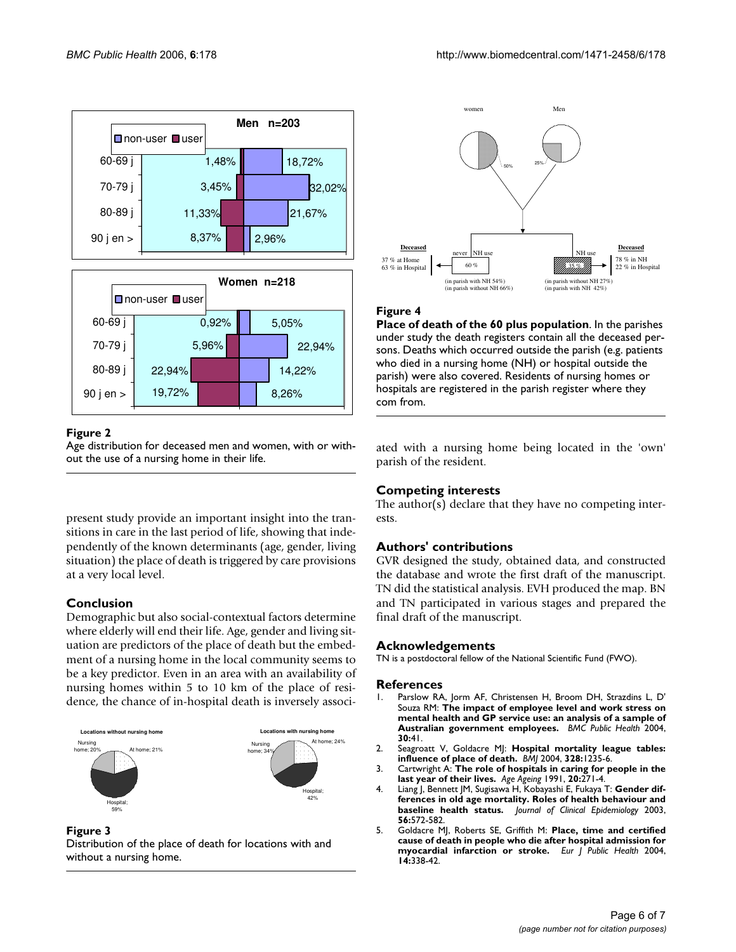



#### Figure 2

Age distribution for deceased men and women, with or without the use of a nursing home in their life.

present study provide an important insight into the transitions in care in the last period of life, showing that independently of the known determinants (age, gender, living situation) the place of death is triggered by care provisions at a very local level.

# **Conclusion**

Demographic but also social-contextual factors determine where elderly will end their life. Age, gender and living situation are predictors of the place of death but the embedment of a nursing home in the local community seems to be a key predictor. Even in an area with an availability of nursing homes within 5 to 10 km of the place of residence, the chance of in-hospital death is inversely associ-



Figure 3 Distribution of the place of death for locations with and without a nursing home.



#### **Figure 4**

**Place of death of the 60 plus population**. In the parishes under study the death registers contain all the deceased persons. Deaths which occurred outside the parish (e.g. patients who died in a nursing home (NH) or hospital outside the parish) were also covered. Residents of nursing homes or hospitals are registered in the parish register where they com from.

ated with a nursing home being located in the 'own' parish of the resident.

## **Competing interests**

The author(s) declare that they have no competing interests.

## **Authors' contributions**

GVR designed the study, obtained data, and constructed the database and wrote the first draft of the manuscript. TN did the statistical analysis. EVH produced the map. BN and TN participated in various stages and prepared the final draft of the manuscript.

## **Acknowledgements**

TN is a postdoctoral fellow of the National Scientific Fund (FWO).

#### **References**

- 1. Parslow RA, Jorm AF, Christensen H, Broom DH, Strazdins L, D' Souza RM: **The impact of employee level and work stress on mental health and GP service use: an analysis of a sample of Australian government employees.** *BMC Public Health* 2004, **30:**41.
- 2. Seagroatt V, Goldacre MJ: **[Hospital mortality league tables:](http://www.ncbi.nlm.nih.gov/entrez/query.fcgi?cmd=Retrieve&db=PubMed&dopt=Abstract&list_uids=15051619) [influence of place of death.](http://www.ncbi.nlm.nih.gov/entrez/query.fcgi?cmd=Retrieve&db=PubMed&dopt=Abstract&list_uids=15051619)** *BMJ* 2004, **328:**1235-6.
- 3. Cartwright A: **[The role of hospitals in caring for people in the](http://www.ncbi.nlm.nih.gov/entrez/query.fcgi?cmd=Retrieve&db=PubMed&dopt=Abstract&list_uids=1927734) [last year of their lives.](http://www.ncbi.nlm.nih.gov/entrez/query.fcgi?cmd=Retrieve&db=PubMed&dopt=Abstract&list_uids=1927734)** *Age Ageing* 1991, **20:**271-4.
- 4. Liang J, Bennett JM, Sugisawa H, Kobayashi E, Fukaya T: **[Gender dif](http://www.ncbi.nlm.nih.gov/entrez/query.fcgi?cmd=Retrieve&db=PubMed&dopt=Abstract&list_uids=12873653)[ferences in old age mortality. Roles of health behaviour and](http://www.ncbi.nlm.nih.gov/entrez/query.fcgi?cmd=Retrieve&db=PubMed&dopt=Abstract&list_uids=12873653) [baseline health status.](http://www.ncbi.nlm.nih.gov/entrez/query.fcgi?cmd=Retrieve&db=PubMed&dopt=Abstract&list_uids=12873653)** *Journal of Clinical Epidemiology* 2003, **56:**572-582.
- 5. Goldacre MJ, Roberts SE, Griffith M: **[Place, time and certified](http://www.ncbi.nlm.nih.gov/entrez/query.fcgi?cmd=Retrieve&db=PubMed&dopt=Abstract&list_uids=15542866) [cause of death in people who die after hospital admission for](http://www.ncbi.nlm.nih.gov/entrez/query.fcgi?cmd=Retrieve&db=PubMed&dopt=Abstract&list_uids=15542866) [myocardial infarction or stroke.](http://www.ncbi.nlm.nih.gov/entrez/query.fcgi?cmd=Retrieve&db=PubMed&dopt=Abstract&list_uids=15542866)** *Eur J Public Health* 2004, **14:**338-42.